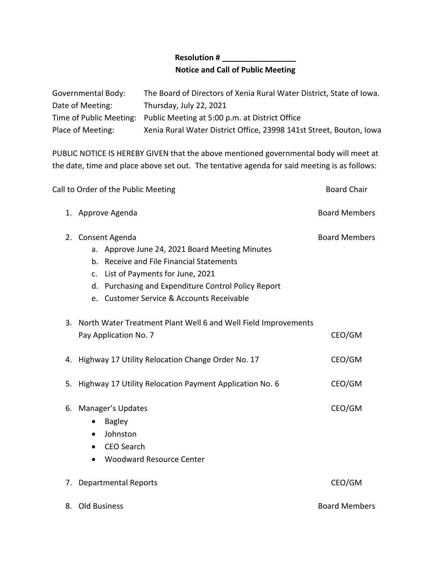## **Resolution # \_\_\_\_\_\_\_\_\_\_\_\_\_\_\_\_\_ Notice and Call of Public Meeting**

| Governmental Body: | The Board of Directors of Xenia Rural Water District, State of Iowa.   |
|--------------------|------------------------------------------------------------------------|
| Date of Meeting:   | Thursday, July 22, 2021                                                |
|                    | Time of Public Meeting: Public Meeting at 5:00 p.m. at District Office |
| Place of Meeting:  | Xenia Rural Water District Office, 23998 141st Street, Bouton, Iowa    |

PUBLIC NOTICE IS HEREBY GIVEN that the above mentioned governmental body will meet at the date, time and place above set out. The tentative agenda for said meeting is as follows:

|    | Call to Order of the Public Meeting                  | <b>Board Chair</b>                                                |                      |
|----|------------------------------------------------------|-------------------------------------------------------------------|----------------------|
|    | 1. Approve Agenda                                    | <b>Board Members</b>                                              |                      |
| 2. | Consent Agenda                                       |                                                                   | <b>Board Members</b> |
|    |                                                      | a. Approve June 24, 2021 Board Meeting Minutes                    |                      |
|    |                                                      | b. Receive and File Financial Statements                          |                      |
|    |                                                      | c. List of Payments for June, 2021                                |                      |
|    |                                                      | d. Purchasing and Expenditure Control Policy Report               |                      |
|    |                                                      | e. Customer Service & Accounts Receivable                         |                      |
|    |                                                      | 3. North Water Treatment Plant Well 6 and Well Field Improvements |                      |
|    | Pay Application No. 7                                |                                                                   | CEO/GM               |
|    | 4. Highway 17 Utility Relocation Change Order No. 17 |                                                                   | CEO/GM               |
|    |                                                      | 5. Highway 17 Utility Relocation Payment Application No. 6        | CEO/GM               |
| 6. | Manager's Updates                                    |                                                                   | CEO/GM               |
|    | $\bullet$                                            | <b>Bagley</b>                                                     |                      |
|    | $\bullet$                                            | Johnston                                                          |                      |
|    | $\bullet$                                            | <b>CEO Search</b>                                                 |                      |
|    | $\bullet$                                            | <b>Woodward Resource Center</b>                                   |                      |
| 7. |                                                      | <b>Departmental Reports</b>                                       | CEO/GM               |
|    | 8. Old Business                                      |                                                                   | <b>Board Members</b> |